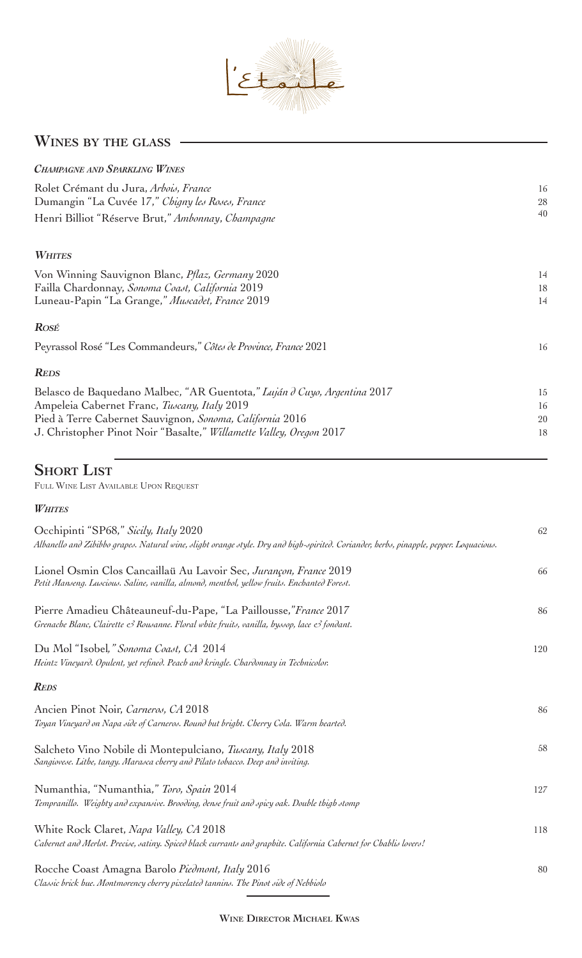

## **Wines by the glass**

| <b>CHAMPAGNE AND SPARKLING WINES</b>                                     |        |
|--------------------------------------------------------------------------|--------|
| Rolet Crémant du Jura, Arbois, France                                    | 16     |
| Dumangin "La Cuvée 17," Chigny les Roses, France                         | $28\,$ |
| Henri Billiot "Réserve Brut," Ambonnay, Champagne                        | 40     |
| <b>WHITES</b>                                                            |        |
| Von Winning Sauvignon Blanc, <i>Pflaz</i> , Germany 2020                 | 14     |
| Failla Chardonnay, Sonoma Coast, California 2019                         | 18     |
| Luneau-Papin "La Grange," Muscadet, France 2019                          | 14     |
| <b>ROSÉ</b>                                                              |        |
| Peyrassol Rosé "Les Commandeurs," Côtes de Province, France 2021         | 16     |
| <b>REDS</b>                                                              |        |
| Belasco de Baquedano Malbec, "AR Guentota," Luján d Cuyo, Argentina 2017 | 15     |
| Ampeleia Cabernet Franc, Tuscany, Italy 2019                             | 16     |
| Pied à Terre Cabernet Sauvignon, Sonoma, California 2016                 | 20     |
| J. Christopher Pinot Noir "Basalte," Willamette Valley, Oregon 2017      | 18     |
|                                                                          |        |
|                                                                          |        |

## **Short List**

Full Wine List Available Upon Request

## *Whites*

| Occhipinti "SP68," Sicily, Italy 2020<br>Albanello and Zibibbo grapes. Natural wine, slight orange style. Dry and high-spirited. Coriander, herbs, pinapple, pepper. Loquacious. | 62  |
|----------------------------------------------------------------------------------------------------------------------------------------------------------------------------------|-----|
| Lionel Osmin Clos Cancaillaü Au Lavoir Sec, Jurançon, France 2019<br>Petit Manseng. Luscious. Saline, vanilla, almond, menthol, yellow fruits. Enchanted Forest.                 | 66  |
| Pierre Amadieu Châteauneuf-du-Pape, "La Paillousse," France 2017<br>Grenache Blanc, Clairette & Rousanne. Floral white fruits, vanilla, hyssop, lace & fondant.                  | 86  |
| Du Mol "Isobel," Sonoma Coast, CA 2014<br>Heintz Vineyard. Opulent, yet refined. Peach and kringle. Chardonnay in Technicolor.                                                   | 120 |
| <b>REDS</b>                                                                                                                                                                      |     |
| Ancien Pinot Noir, Carneros, CA 2018<br>Toyan Vineyard on Napa side of Carneros. Round but bright. Cherry Cola. Warm hearted.                                                    | 86  |
| Salcheto Vino Nobile di Montepulciano, Tuscany, Italy 2018<br>Sangiovese. Lithe, tangy. Marasca cherry and Pilato tobacco. Deep and inviting.                                    | 58  |
| Numanthia, "Numanthia," Toro, Spain 2014<br>Tempranillo. Weighty and expansive. Brooding, dense fruit and spicy oak. Double thigh stomp                                          | 127 |
| White Rock Claret, Napa Valley, CA 2018<br>Cabernet and Merlot. Precise, satiny. Spiced black currants and graphite. California Cabernet for Chablis lovers!                     | 118 |
| Rocche Coast Amagna Barolo Piedmont, Italy 2016<br>Classic brick hue. Montmorency cherry pixelated tannins. The Pinot side of Nebbiolo                                           | 80  |

 $\overline{\phantom{a}}$